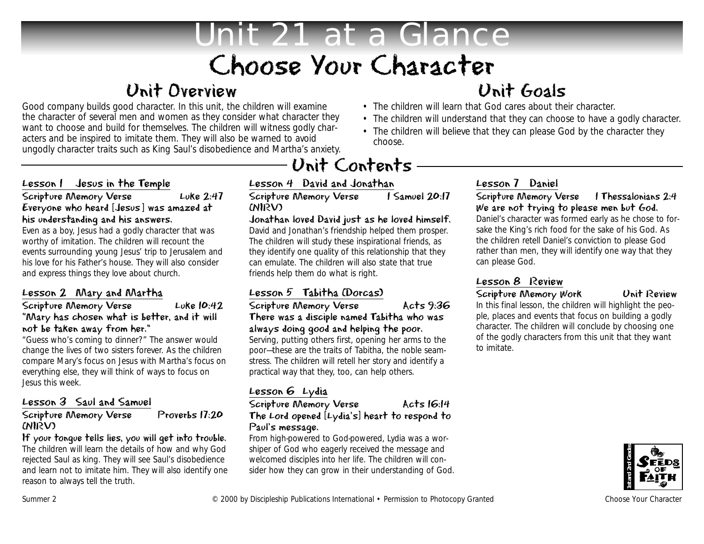# Unit 21 at a Glance Choose Your Character

### Unit Overview

Good company builds good character. In this unit, the children will examine the character of several men and women as they consider what character they want to choose and build for themselves. The children will witness godly characters and be inspired to imitate them. They will also be warned to avoid ungodly character traits such as King Saul's disobedience and Martha's anxiety.

#### Lesson 1 Jesus in the Temple

#### Scripture Memory Verse Luke 2:47 Everyone who heard [Jesus] was amazed at his understanding and his answers.

Even as a boy, Jesus had a godly character that was worthy of imitation. The children will recount the events surrounding young Jesus' trip to Jerusalem and his love for his Father's house. They will also consider and express things they love about church.

#### Lesson 2 Mary and Martha

#### Scripture Memory Verse Luke 10:42 "Mary has chosen what is better, and it will not be taken away from her."

"Guess who's coming to dinner?" The answer would change the lives of two sisters forever. As the children compare Mary's focus on Jesus with Martha's focus on everything else, they will think of ways to focus on Jesus this week.

#### Lesson 3 Saul and Samuel

#### Scripture Memory Verse Proverbs 17:20 (NIRV)

If your tongue tells lies, you will get into trouble.

The children will learn the details of how and why God rejected Saul as king. They will see Saul's disobedience and learn not to imitate him. They will also identify one reason to always tell the truth.

## Unit Contents

### Lesson 4 David and Jonathan<br>Scripture Memory Verse 1 Samuel 20:17

Scripture Memory Verse (NIRV)

#### Jonathan loved David just as he loved himself.

David and Jonathan's friendship helped them prosper. The children will study these inspirational friends, as they identify one quality of this relationship that they can emulate. The children will also state that true friends help them do what is right.

### Lesson 5 Tabitha (Dorcas)

#### Scripture Memory Verse Acts 9:36 There was a disciple named Tabitha who was always doing good and helping the poor.

Serving, putting others first, opening her arms to the poor—these are the traits of Tabitha, the noble seamstress. The children will retell her story and identify a practical way that they, too, can help others.

#### Lesson 6 Lydia

#### Scripture Memory Verse Acts 16:14 The Lord opened [Lydia's] heart to respond to Paul's message.

From high-powered to God-powered, Lydia was a worshiper of God who eagerly received the message and welcomed disciples into her life. The children will consider how they can grow in their understanding of God.

### Unit Goals

- The children will learn that God cares about their character.
- The children will understand that they can choose to have a godly character.
- The children will believe that they can please God by the character they choose.

#### Lesson 7 Daniel

#### Scripture Memory Verse 1 Thessalonians 2:4 We are not trying to please men but God.

Daniel's character was formed early as he chose to forsake the King's rich food for the sake of his God. As the children retell Daniel's conviction to please God rather than men, they will identify one way that they can please God.

#### Lesson 8 Review

#### Scripture Memory Work Unit Review

In this final lesson, the children will highlight the people, places and events that focus on building a godly character. The children will conclude by choosing one of the godly characters from this unit that they want to imitate.